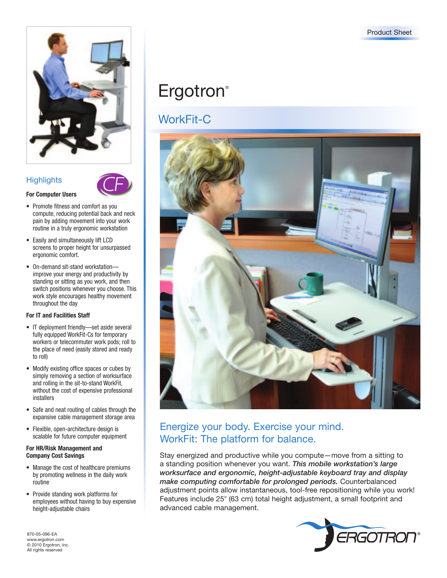

### **Highlights**

**For Computer Users**



- Promote fitness and comfort as you compute, reducing potential back and neck pain by adding movement into your work routine in a truly ergonomic workstation
- • Easily and simultaneously lift LCD screens to proper height for unsurpassed ergonomic comfort.
- On-demand sit-stand workstationimprove your energy and productivity by standing or sitting as you work, and then switch positions whenever you choose. This work style encourages healthy movement throughout the day

### **For IT and Facilities Staff**

- IT deployment friendly—set aside several fully equipped WorkFit-Cs for temporary workers or telecommuter work pods; roll to the place of need (easily stored and ready to roll)
- • Modify existing office spaces or cubes by simply removing a section of worksurface and rolling in the sit-to-stand WorkFit, without the cost of expensive professional installers
- Safe and neat routing of cables through the expansive cable management storage area
- • Flexible, open-architecture design is scalable for future computer equipment

#### **For HR/Risk Management and Company Cost Savings**

- Manage the cost of healthcare premiums by promoting wellness in the daily work routine
- • Provide standing work platforms for employees without having to buy expensive height-adjustable chairs

870-05-096-EA www.ergotron.com © 2010 Ergotron, Inc. All rights reserved

# **Ergotron**®

## WorkFit-C



## Energize your body. Exercise your mind. WorkFit: The platform for balance.

Stay energized and productive while you compute—move from a sitting to a standing position whenever you want. *This mobile workstation's large worksurface and ergonomic, height-adjustable keyboard tray and display make computing comfortable for prolonged periods.* Counterbalanced adjustment points allow instantaneous, tool-free repositioning while you work! Features include 25" (63 cm) total height adjustment, a small footprint and advanced cable management.